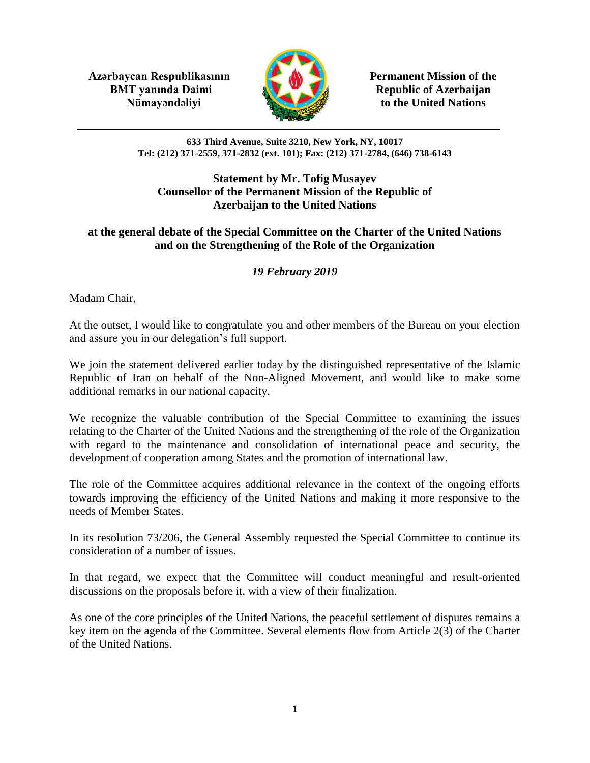**Azərbaycan Respublikasının Permanent Mission of the BMT yanında Daimi Republic of Azerbaijan** 



**Nümayəndəliyi** to the United Nations

**633 Third Avenue, Suite 3210, New York, NY, 10017 Tel: (212) 371-2559, 371-2832 (ext. 101); Fax: (212) 371-2784, (646) 738-6143**

## **Statement by Mr. Tofig Musayev Counsellor of the Permanent Mission of the Republic of Azerbaijan to the United Nations**

## **at the general debate of the Special Committee on the Charter of the United Nations and on the Strengthening of the Role of the Organization**

## *19 February 2019*

Madam Chair,

At the outset, I would like to congratulate you and other members of the Bureau on your election and assure you in our delegation's full support.

We join the statement delivered earlier today by the distinguished representative of the Islamic Republic of Iran on behalf of the Non-Aligned Movement, and would like to make some additional remarks in our national capacity.

We recognize the valuable contribution of the Special Committee to examining the issues relating to the Charter of the United Nations and the strengthening of the role of the Organization with regard to the maintenance and consolidation of international peace and security, the development of cooperation among States and the promotion of international law.

The role of the Committee acquires additional relevance in the context of the ongoing efforts towards improving the efficiency of the United Nations and making it more responsive to the needs of Member States.

In its resolution 73/206, the General Assembly requested the Special Committee to continue its consideration of a number of issues.

In that regard, we expect that the Committee will conduct meaningful and result-oriented discussions on the proposals before it, with a view of their finalization.

As one of the core principles of the United Nations, the peaceful settlement of disputes remains a key item on the agenda of the Committee. Several elements flow from Article 2(3) of the Charter of the United Nations.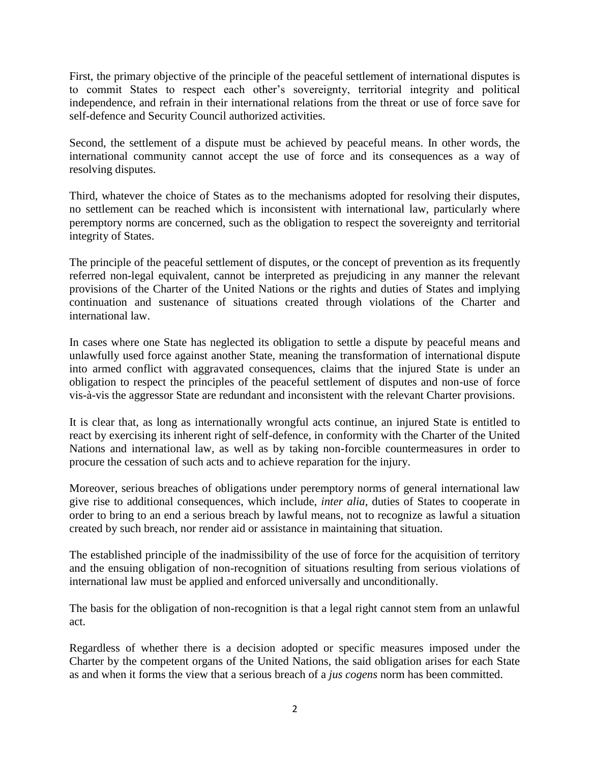First, the primary objective of the principle of the peaceful settlement of international disputes is to commit States to respect each other's sovereignty, territorial integrity and political independence, and refrain in their international relations from the threat or use of force save for self-defence and Security Council authorized activities.

Second, the settlement of a dispute must be achieved by peaceful means. In other words, the international community cannot accept the use of force and its consequences as a way of resolving disputes.

Third, whatever the choice of States as to the mechanisms adopted for resolving their disputes, no settlement can be reached which is inconsistent with international law, particularly where peremptory norms are concerned, such as the obligation to respect the sovereignty and territorial integrity of States.

The principle of the peaceful settlement of disputes, or the concept of prevention as its frequently referred non-legal equivalent, cannot be interpreted as prejudicing in any manner the relevant provisions of the Charter of the United Nations or the rights and duties of States and implying continuation and sustenance of situations created through violations of the Charter and international law.

In cases where one State has neglected its obligation to settle a dispute by peaceful means and unlawfully used force against another State, meaning the transformation of international dispute into armed conflict with aggravated consequences, claims that the injured State is under an obligation to respect the principles of the peaceful settlement of disputes and non-use of force vis-à-vis the aggressor State are redundant and inconsistent with the relevant Charter provisions.

It is clear that, as long as internationally wrongful acts continue, an injured State is entitled to react by exercising its inherent right of self-defence, in conformity with the Charter of the United Nations and international law, as well as by taking non-forcible countermeasures in order to procure the cessation of such acts and to achieve reparation for the injury.

Moreover, serious breaches of obligations under peremptory norms of general international law give rise to additional consequences, which include, *inter alia*, duties of States to cooperate in order to bring to an end a serious breach by lawful means, not to recognize as lawful a situation created by such breach, nor render aid or assistance in maintaining that situation.

The established principle of the inadmissibility of the use of force for the acquisition of territory and the ensuing obligation of non-recognition of situations resulting from serious violations of international law must be applied and enforced universally and unconditionally.

The basis for the obligation of non-recognition is that a legal right cannot stem from an unlawful act.

Regardless of whether there is a decision adopted or specific measures imposed under the Charter by the competent organs of the United Nations, the said obligation arises for each State as and when it forms the view that a serious breach of a *jus cogens* norm has been committed.